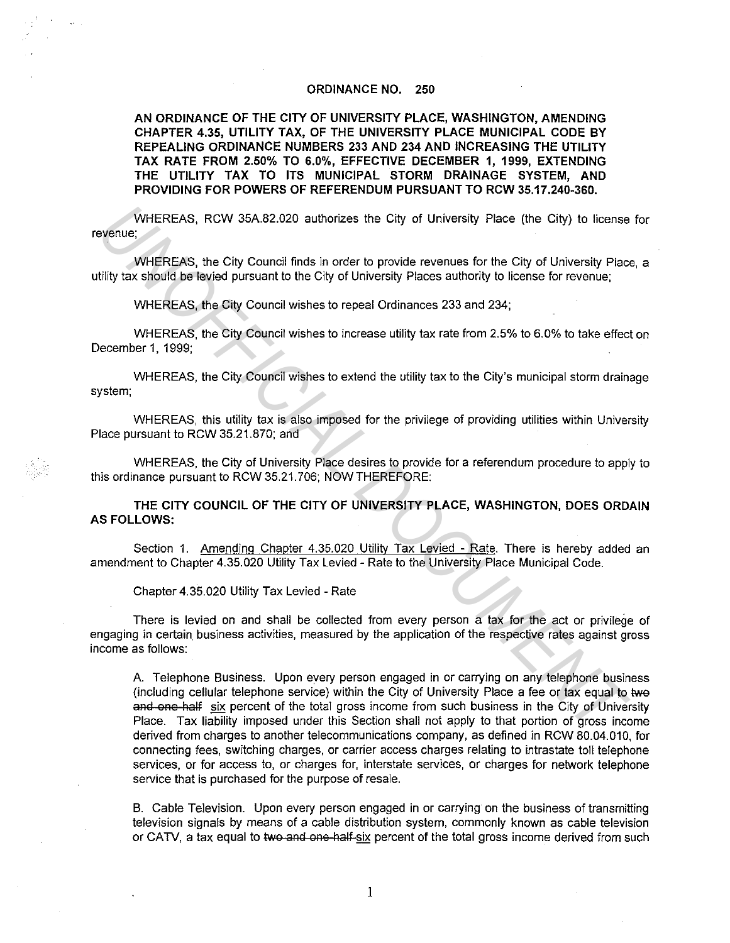## ORDINANCE NO. 250

AN ORDINANCE OF THE CITY OF UNIVERSITY PLACE, WASHINGTON, AMENDING CHAPTER 4.35, UTILITY TAX, OF THE UNIVERSITY PLACE MUNICIPAL CODE BY REPEALING ORDINANCE NUMBERS 233 AND 234 AND INCREASING THE UTILITY TAX RATE FROM 2.50% TO 6.0%, EFFECTIVE DECEMBER 1, 1999, EXTENDING THE UTILITY TAX TO ITS MUNICIPAL STORM DRAINAGE SYSTEM, AND PROVIDING FOR POWERS OF REFERENDUM PURSUANT TO RCW 35.17.240-360.

WHEREAS, RCW 35A.82.020 authorizes the City of University Place (the City) to license for revenue;

WHEREAS, the City Council finds in order to provide revenues for the City of University Place, a utility tax should be levied pursuant to the City of University Places authority to license for revenue;

WHEREAS, the City Council wishes to repeal Ordinances 233 and 234;

WHEREAS, the City Council wishes to increase utility tax rate from 2.5% to 6.0% to take effect on December 1, 1999;

WHEREAS, the City Council wishes to extend the utility tax to the City's municipal storm drainage system;

WHEREAS, this utility tax is also imposed for the privilege of providing utilities within University Place pursuant to RCW 35.21.870; and

WHEREAS, the City of University Place desires to provide for a referendum procedure to apply to this ordinance pursuant to RCW 35.21.706; NOW THEREFORE:

THE CITY COUNCIL OF THE CITY OF UNIVERSITY PLACE, WASHINGTON, DOES ORDAIN AS FOLLOWS:

Section 1. Amending Chapter 4.35.020 Utility Tax Levied - Rate. There is hereby added an amendment to Chapter 4.35.020 Utility Tax Levied - Rate to the University Place Municipal Code.

Chapter 4.35.020 Utility Tax Levied - Rate

There is levied on and shall be collected from every person a tax for the act or privilege of engaging in certain\_ business activities, measured by the application of the respective rates against gross income as follows:

A Telephone Business. Upon every person engaged in or carrying on any telephone business (including cellular telephone service) within the City of University Place a fee or tax equal to lwe and one half six percent of the total gross income from such business in the City of University Place. Tax liability imposed under this Section shall not apply to that portion of gross income derived from charges to another telecommunications company, as defined in RCW 80.04.010, for connecting fees, switching charges, or carrier access charges relating to intrastate toll telephone services, or for access to, or charges for, interstate services, or charges for network telephone service that is purchased for the purpose of resale. WHEREAS, RCW 35A 82.020 authorizes the City of University Place (the City) to license<br>
wenue;<br>
WHEREAS, the City Council finds in order to provide revenues for the City of University Place<br>
WHEREAS, the City Council wishes

B. Cable Television. Upon every person engaged in or carrying on the business of transmitting television signals by means of a cable distribution system, commonly known as cable television or CATV, a tax equal to two and one half-six percent of the total gross income derived from such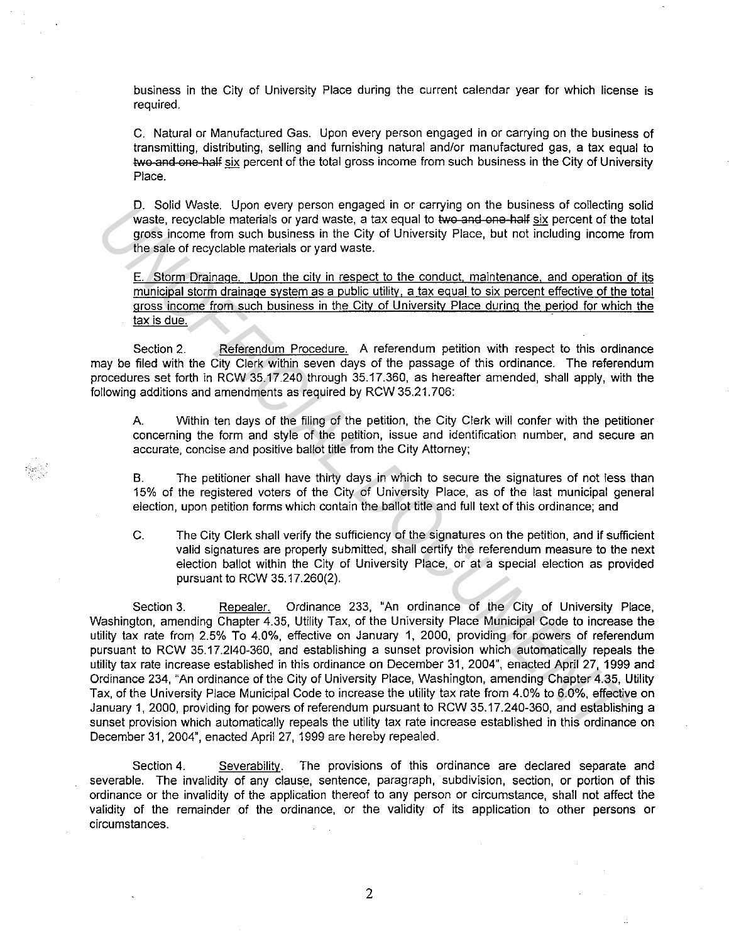business in the City of University Place during the current calendar year for which license is required.

C. Natural or Manufactured Gas. Upon every person engaged in or carrying on the business of transmitting, distributing, selling and furnishing natural and/or manufactured gas, a tax equal to two and one half six percent of the total gross income from such business in the City of University Place.

D. Solid Waste. Upon every person engaged in or carrying on the business of collecting solid waste, recyclable materials or yard waste, a tax equal to two and one half six percent of the total gross income from such business in the City of University Place, but not including income from the sale of recyclable materials or yard waste.

E. Storm Drainage. Upon the city in respect to the conduct, maintenance, and operation of its municipal storm drainage system as a public utility, a tax egual to six percent effective of the total gross income from such business in the City of University Place during the period for which the tax is due.

Section 2. Referendum Procedure. A referendum petition with respect to this ordinance may be filed with the City Clerk within seven days of the passage of this ordinance. The referendum procedures set forth in RCW 35.17.240 through 35.17.360, as hereafter amended, shall apply, with the following additions and amendments as required by RCW 35.21. 706:

A. Within ten days of the filing of the petition, the City Clerk will confer with the petitioner concerning the form and style of the petition, issue and identification number, and secure an accurate, concise and positive ballot title from the City Attorney;

B. The petitioner shall have thirty days in which to secure the signatures of not less than 15% of the registered voters of the City of University Place, as of the last municipal general election, upon petition forms which contain the ballot title and full text of this ordinance; and

C. The City Clerk shall verify the sufficiency of the signatures on the petition, and if sufficient valid signatures are properly submitted, shall certify the referendum measure to the next election ballot within the City of University Place, or at a special election as provided pursuant to RCW 35.17.260(2).

Section 3. Repealer. Ordinance 233, "An ordinance of the City of University Place, Washington, amending Chapter 4.35, Utility Tax, of the University Place Municipal Code to increase the utility tax rate from 2.5% To 4.0%, effective on January 1, 2000, providing for powers of referendum pursuant to RCW 35.17.2140-360, and establishing a sunset provision which automatically repeals the utility tax rate increase established in this ordinance on December 31, 2004", enacted April 27, 1999 and Ordinance 234, "An ordinance of the City of University Place, Washington, amending Chapter 4.35, Utility Tax, of the University Place Municipal Code to increase the utility tax rate from 4.0% to 6.0%, effective on January 1, 2000, providing for powers of referendum pursuant to RCW 35.17.240-360, and establishing a sunset provision which automatically repeals the utility tax rate increase established in this ordinance on December 31, 2004", enacted April 27, 1999 are hereby repealed. **U.** Solid Weste. Upon they person engage in or carrying on the dustings or conteding<br>waste, recyclable materials or yard waste, a tax equal to two-and-oa-half give person time<br>goes income from such business in the City of

Section 4. Severability. The provisions of this ordinance are declared separate and severable. The invalidity of any clause, sentence, paragraph, subdivision, section, or portion of this ordinance or the invalidity of the application thereof to any person or circumstance, shall not affect the validity of the remainder of the ordinance, or the validity of its application to other persons or circumstances.